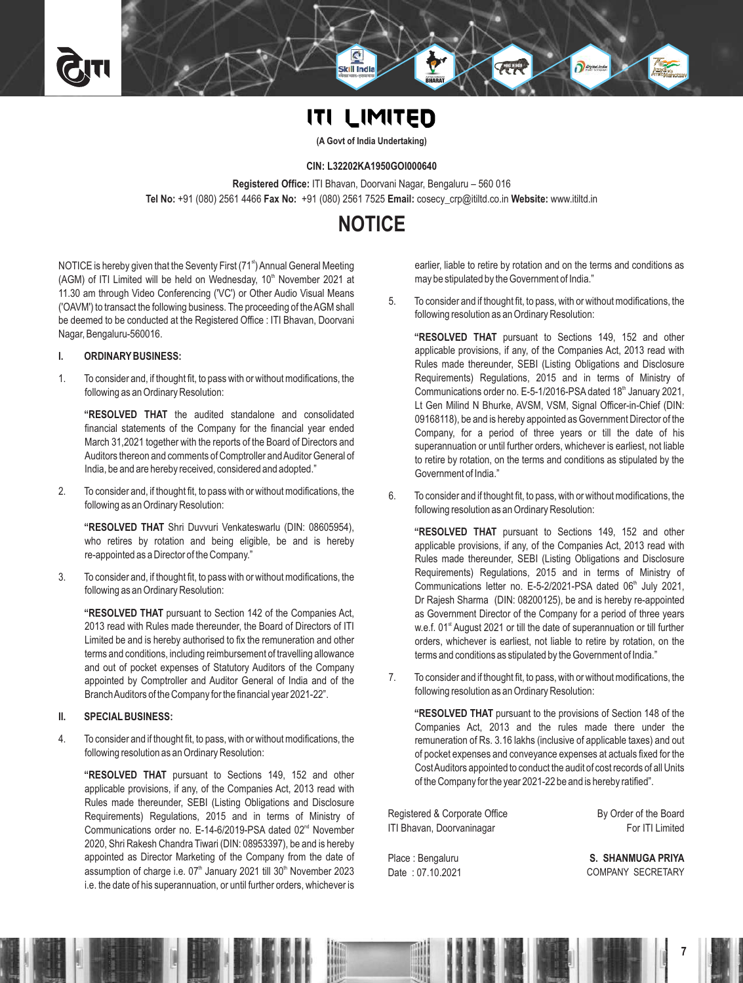# **ITI LIMITED**

Skill Ind

**(A Govt of India Undertaking)**

#### **CIN: L32202KA1950GOI000640**

**Registered Office:** ITI Bhavan, Doorvani Nagar, Bengaluru – 560 016 **Tel No:** +91 (080) 2561 4466 **Fax No:** +91 (080) 2561 7525 **Email:** cosecy\_crp@itiltd.co.in **Website:** www.itiltd.in

# **NOTICE**

NOTICE is hereby given that the Seventy First (71<sup>st</sup>) Annual General Meeting (AGM) of ITI Limited will be held on Wednesday, 10<sup>th</sup> November 2021 at 11.30 am through Video Conferencing ('VC') or Other Audio Visual Means ('OAVM') to transact the following business. The proceeding of the AGM shall be deemed to be conducted at the Registered Office : ITI Bhavan, Doorvani Nagar, Bengaluru-560016.

#### **I. ORDINARYBUSINESS:**

1. To consider and, if thought fit, to pass with or without modifications, the following as an Ordinary Resolution:

**"RESOLVED THAT** the audited standalone and consolidated financial statements of the Company for the financial year ended March 31,2021 together with the reports of the Board of Directors and Auditors thereon and comments of Comptroller and Auditor General of India, be and are hereby received, considered and adopted."

2. To consider and, if thought fit, to pass with or without modifications, the following as an Ordinary Resolution:

**"RESOLVED THAT** Shri Duvvuri Venkateswarlu (DIN: 08605954), who retires by rotation and being eligible, be and is hereby re-appointed as a Director of the Company."

3. To consider and, if thought fit, to pass with or without modifications, the following as an Ordinary Resolution:

**"RESOLVED THAT** pursuant to Section 142 of the Companies Act, 2013 read with Rules made thereunder, the Board of Directors of ITI Limited be and is hereby authorised to fix the remuneration and other terms and conditions, including reimbursement of travelling allowance and out of pocket expenses of Statutory Auditors of the Company appointed by Comptroller and Auditor General of India and of the Branch Auditors of the Company for the financial year 2021-22".

### **II. SPECIALBUSINESS:**

4. To consider and if thought fit, to pass, with or without modifications, the following resolution as an Ordinary Resolution:

**"RESOLVED THAT** pursuant to Sections 149, 152 and other applicable provisions, if any, of the Companies Act, 2013 read with Rules made thereunder, SEBI (Listing Obligations and Disclosure Requirements) Regulations, 2015 and in terms of Ministry of Communications order no. E-14-6/2019-PSA dated 02<sup>nd</sup> November 2020, Shri Rakesh Chandra Tiwari (DIN: 08953397), be and is hereby appointed as Director Marketing of the Company from the date of assumption of charge i.e.  $07<sup>th</sup>$  January 2021 till 30 $<sup>th</sup>$  November 2023</sup> i.e. the date of his superannuation, or until further orders, whichever is

earlier, liable to retire by rotation and on the terms and conditions as may be stipulated by the Government of India."

5. To consider and if thought fit, to pass, with or without modifications, the following resolution as an Ordinary Resolution:

**"RESOLVED THAT** pursuant to Sections 149, 152 and other applicable provisions, if any, of the Companies Act, 2013 read with Rules made thereunder, SEBI (Listing Obligations and Disclosure Requirements) Regulations, 2015 and in terms of Ministry of Communications order no. E-5-1/2016-PSA dated 18<sup>th</sup> January 2021, Lt Gen Milind N Bhurke, AVSM, VSM, Signal Officer-in-Chief (DIN: 09168118), be and is hereby appointed as Government Director of the Company, for a period of three years or till the date of his superannuation or until further orders, whichever is earliest, not liable to retire by rotation, on the terms and conditions as stipulated by the Government of India."

6. To consider and if thought fit, to pass, with or without modifications, the following resolution as an Ordinary Resolution:

**"RESOLVED THAT** pursuant to Sections 149, 152 and other applicable provisions, if any, of the Companies Act, 2013 read with Rules made thereunder, SEBI (Listing Obligations and Disclosure Requirements) Regulations, 2015 and in terms of Ministry of Communications letter no. E-5-2/2021-PSA dated 06<sup>th</sup> July 2021, Dr Rajesh Sharma (DIN: 08200125), be and is hereby re-appointed as Government Director of the Company for a period of three years w.e.f. 01<sup>st</sup> August 2021 or till the date of superannuation or till further orders, whichever is earliest, not liable to retire by rotation, on the terms and conditions as stipulated by the Government of India."

7. To consider and if thought fit, to pass, with or without modifications, the following resolution as an Ordinary Resolution:

**"RESOLVED THAT** pursuant to the provisions of Section 148 of the Companies Act, 2013 and the rules made there under the remuneration of Rs. 3.16 lakhs (inclusive of applicable taxes) and out of pocket expenses and conveyance expenses at actuals fixed for the Cost Auditors appointed to conduct the audit of cost records of all Units of the Company for the year 2021-22 be and is hereby ratified".

Registered & Corporate Office ITI Bhavan, Doorvaninagar By Order of the Board For ITI Limited

Place : Bengaluru Date : 07.10.2021

**S. SHANMUGA PRIYA** COMPANY SECRETARY

**7**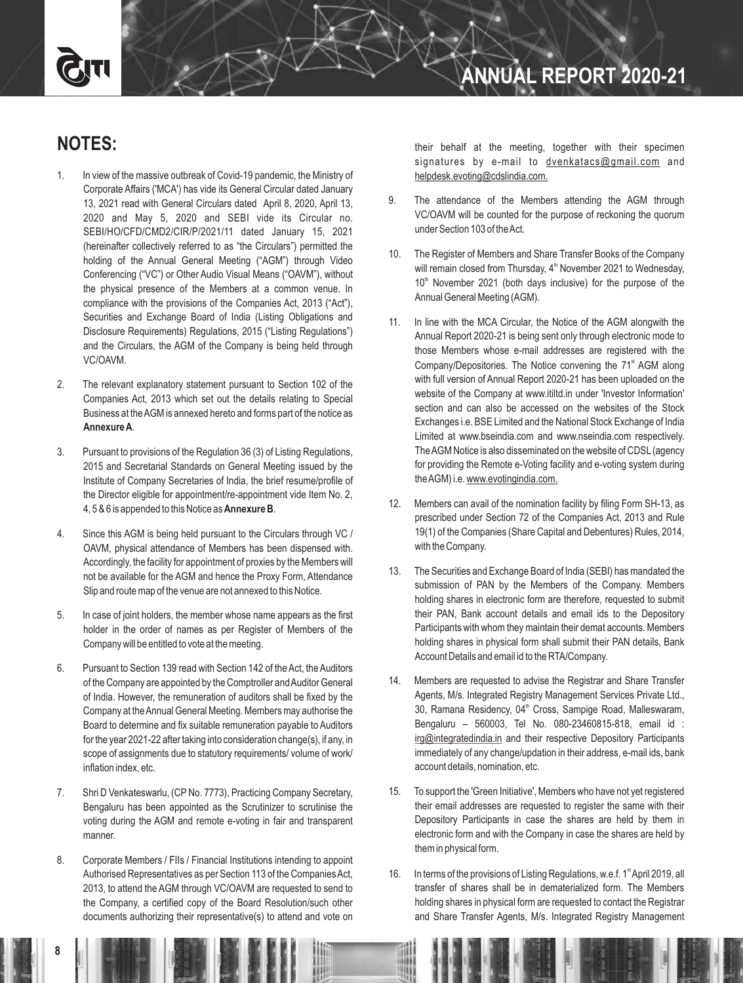# **NOTES:**

- 1. In view of the massive outbreak of Covid-19 pandemic, the Ministry of Corporate Affairs ('MCA') has vide its General Circular dated January 13, 2021 read with General Circulars dated April 8, 2020, April 13, 2020 and May 5, 2020 and SEBI vide its Circular no. SEBI/HO/CFD/CMD2/CIR/P/2021/11 dated January 15, 2021 (hereinafter collectively referred to as "the Circulars") permitted the holding of the Annual General Meeting ("AGM") through Video Conferencing ("VC") or Other Audio Visual Means ("OAVM"), without the physical presence of the Members at a common venue. In compliance with the provisions of the Companies Act, 2013 ("Act"), Securities and Exchange Board of India (Listing Obligations and Disclosure Requirements) Regulations, 2015 ("Listing Regulations") and the Circulars, the AGM of the Company is being held through VC/OAVM.
- 2. The relevant explanatory statement pursuant to Section 102 of the Companies Act, 2013 which set out the details relating to Special Business at the AGM is annexed hereto and forms part of the notice as **Annexure A**.
- 3. Pursuant to provisions of the Regulation 36 (3) of Listing Regulations, 2015 and Secretarial Standards on General Meeting issued by the Institute of Company Secretaries of India, the brief resume/profile of the Director eligible for appointment/re-appointment vide Item No. 2, 4, 5 & 6 is appended to this Notice as **Annexure B**.
- 4. Since this AGM is being held pursuant to the Circulars through VC / OAVM, physical attendance of Members has been dispensed with. Accordingly, the facility for appointment of proxies by the Members will not be available for the AGM and hence the Proxy Form, Attendance Slip and route map of the venue are not annexed to this Notice.
- 5. In case of joint holders, the member whose name appears as the first holder in the order of names as per Register of Members of the Company will be entitled to vote at the meeting.
- 6. Pursuant to Section 139 read with Section 142 of the Act, the Auditors of the Company are appointed by the Comptroller and Auditor General of India. However, the remuneration of auditors shall be fixed by the Company at the Annual General Meeting. Members may authorise the Board to determine and fix suitable remuneration payable to Auditors for the year 2021-22 after taking into consideration change(s), if any, in scope of assignments due to statutory requirements/ volume of work/ inflation index, etc.
- 7. Shri D Venkateswarlu, (CP No. 7773), Practicing Company Secretary, Bengaluru has been appointed as the Scrutinizer to scrutinise the voting during the AGM and remote e-voting in fair and transparent manner.
- 8. Corporate Members / FIIs / Financial Institutions intending to appoint Authorised Representatives as per Section 113 of the Companies Act, 2013, to attend the AGM through VC/OAVM are requested to send to the Company, a certified copy of the Board Resolution/such other documents authorizing their representative(s) to attend and vote on

their behalf at the meeting, together with their specimen signatures by e-mail to dvenkatacs@gmail.com and helpdesk.evoting@cdslindia.com.

- 9. The attendance of the Members attending the AGM through VC/OAVM will be counted for the purpose of reckoning the quorum under Section 103 of the Act.
- 10. The Register of Members and Share Transfer Books of the Company will remain closed from Thursday, 4<sup>th</sup> November 2021 to Wednesday,  $10<sup>th</sup>$  November 2021 (both days inclusive) for the purpose of the Annual General Meeting (AGM).
- 11. In line with the MCA Circular, the Notice of the AGM alongwith the Annual Report 2020-21 is being sent only through electronic mode to those Members whose e-mail addresses are registered with the Company/Depositories. The Notice convening the 71<sup>st</sup> AGM along with full version of Annual Report 2020-21 has been uploaded on the website of the Company at www.itiltd.in under 'Investor Information' section and can also be accessed on the websites of the Stock Exchanges i.e. BSE Limited and the National Stock Exchange of India Limited at www.bseindia.com and www.nseindia.com respectively. The AGM Notice is also disseminated on the website of CDSL (agency for providing the Remote e-Voting facility and e-voting system during the AGM) i.e. www.evotingindia.com.
- 12. Members can avail of the nomination facility by filing Form SH-13, as prescribed under Section 72 of the Companies Act, 2013 and Rule 19(1) of the Companies (Share Capital and Debentures) Rules, 2014, with the Company.
- 13. The Securities and Exchange Board of India (SEBI) has mandated the submission of PAN by the Members of the Company. Members holding shares in electronic form are therefore, requested to submit their PAN, Bank account details and email ids to the Depository Participants with whom they maintain their demat accounts. Members holding shares in physical form shall submit their PAN details, Bank Account Details and email id to the RTA/Company.
- 14. Members are requested to advise the Registrar and Share Transfer Agents, M/s. Integrated Registry Management Services Private Ltd., 30, Ramana Residency, 04<sup>th</sup> Cross, Sampige Road, Malleswaram, Bengaluru – 560003, Tel No. 080-23460815-818, email id : irg@integratedindia.in and their respective Depository Participants immediately of any change/updation in their address, e-mail ids, bank account details, nomination, etc.
- 15. To support the 'Green Initiative', Members who have not yet registered their email addresses are requested to register the same with their Depository Participants in case the shares are held by them in electronic form and with the Company in case the shares are held by them in physical form.
- 16. In terms of the provisions of Listing Regulations, w.e.f. 1<sup>st</sup> April 2019, all transfer of shares shall be in dematerialized form. The Members holding shares in physical form are requested to contact the Registrar and Share Transfer Agents, M/s. Integrated Registry Management

**8**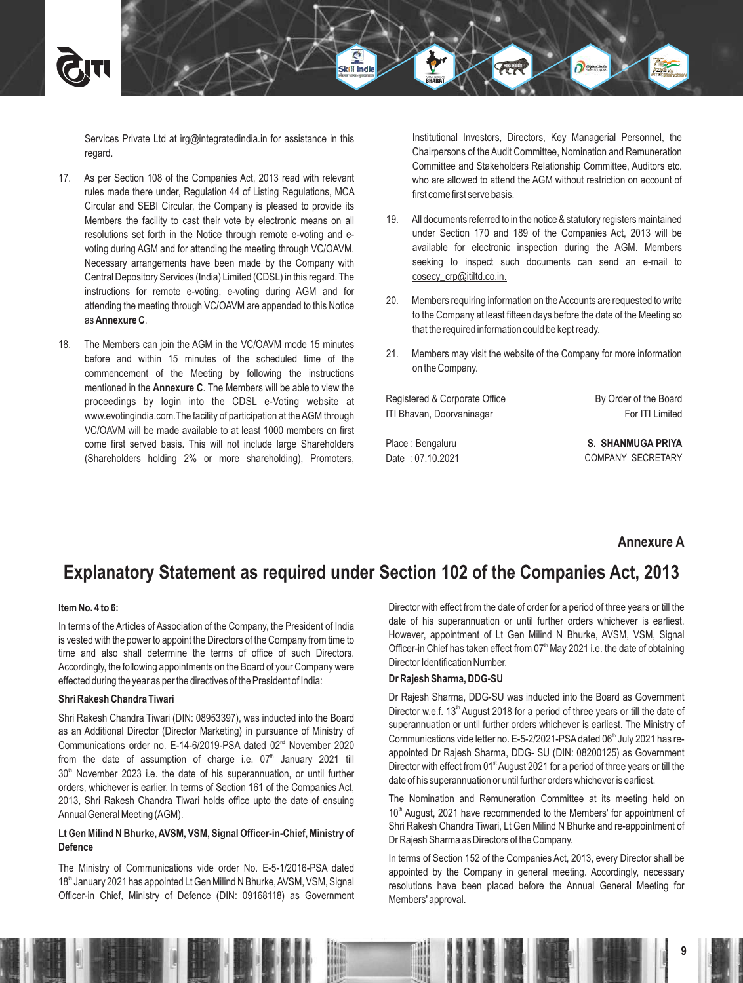Services Private Ltd at irg@integratedindia.in for assistance in this regard.

- 17. As per Section 108 of the Companies Act, 2013 read with relevant rules made there under, Regulation 44 of Listing Regulations, MCA Circular and SEBI Circular, the Company is pleased to provide its Members the facility to cast their vote by electronic means on all resolutions set forth in the Notice through remote e-voting and evoting during AGM and for attending the meeting through VC/OAVM. Necessary arrangements have been made by the Company with Central Depository Services (India) Limited (CDSL) in this regard. The instructions for remote e-voting, e-voting during AGM and for attending the meeting through VC/OAVM are appended to this Notice as **Annexure C**.
- 18. The Members can join the AGM in the VC/OAVM mode 15 minutes before and within 15 minutes of the scheduled time of the commencement of the Meeting by following the instructions mentioned in the **Annexure C**. The Members will be able to view the proceedings by login into the CDSL e-Voting website at www.evotingindia.com.The facility of participation at the AGM through VC/OAVM will be made available to at least 1000 members on first come first served basis. This will not include large Shareholders (Shareholders holding 2% or more shareholding), Promoters,

Institutional Investors, Directors, Key Managerial Personnel, the Chairpersons of the Audit Committee, Nomination and Remuneration Committee and Stakeholders Relationship Committee, Auditors etc. who are allowed to attend the AGM without restriction on account of first come first serve basis.

- 19. All documents referred to in the notice & statutory registers maintained under Section 170 and 189 of the Companies Act, 2013 will be available for electronic inspection during the AGM. Members seeking to inspect such documents can send an e-mail to cosecy\_crp@itiltd.co.in.
- 20. Members requiring information on the Accounts are requested to write to the Company at least fifteen days before the date of the Meeting so that the required information could be kept ready.
- 21. Members may visit the website of the Company for more information on the Company.

Registered & Corporate Office ITI Bhavan, Doorvaninagar

Place : Bengaluru Date : 07.10.2021 By Order of the Board For ITI Limited

**S. SHANMUGA PRIYA** COMPANY SECRETARY

## **Annexure A**

**9**

# **Explanatory Statement as required under Section 102 of the Companies Act, 2013**

Skill Ind

#### **Item No. 4 to 6:**

In terms of the Articles of Association of the Company, the President of India is vested with the power to appoint the Directors of the Company from time to time and also shall determine the terms of office of such Directors. Accordingly, the following appointments on the Board of your Company were effected during the year as per the directives of the President of India:

#### **Shri Rakesh Chandra Tiwari**

Shri Rakesh Chandra Tiwari (DIN: 08953397), was inducted into the Board as an Additional Director (Director Marketing) in pursuance of Ministry of Communications order no. E-14-6/2019-PSA dated 02<sup>nd</sup> November 2020 from the date of assumption of charge i.e.  $07<sup>th</sup>$  January 2021 till  $30<sup>th</sup>$  November 2023 i.e. the date of his superannuation, or until further orders, whichever is earlier. In terms of Section 161 of the Companies Act, 2013, Shri Rakesh Chandra Tiwari holds office upto the date of ensuing Annual General Meeting (AGM).

## **Lt Gen Milind N Bhurke, AVSM, VSM, Signal Officer-in-Chief, Ministry of Defence**

The Ministry of Communications vide order No. E-5-1/2016-PSA dated 18<sup>th</sup> January 2021 has appointed Lt Gen Milind N Bhurke, AVSM, VSM, Signal Officer-in Chief, Ministry of Defence (DIN: 09168118) as Government Director with effect from the date of order for a period of three years or till the date of his superannuation or until further orders whichever is earliest. However, appointment of Lt Gen Milind N Bhurke, AVSM, VSM, Signal Officer-in Chief has taken effect from  $07<sup>th</sup>$  May 2021 i.e. the date of obtaining Director Identification Number.

#### **Dr Rajesh Sharma, DDG-SU**

Dr Rajesh Sharma, DDG-SU was inducted into the Board as Government Director w.e.f.  $13<sup>th</sup>$  August 2018 for a period of three years or till the date of superannuation or until further orders whichever is earliest. The Ministry of Communications vide letter no. E-5-2/2021-PSA dated 06<sup>th</sup> July 2021 has reappointed Dr Rajesh Sharma, DDG- SU (DIN: 08200125) as Government Director with effect from  $01<sup>st</sup>$  August 2021 for a period of three years or till the date of his superannuation or until further orders whichever is earliest.

The Nomination and Remuneration Committee at its meeting held on 10<sup>th</sup> August, 2021 have recommended to the Members' for appointment of Shri Rakesh Chandra Tiwari, Lt Gen Milind N Bhurke and re-appointment of Dr Rajesh Sharma as Directors of the Company.

In terms of Section 152 of the Companies Act, 2013, every Director shall be appointed by the Company in general meeting. Accordingly, necessary resolutions have been placed before the Annual General Meeting for Members' approval.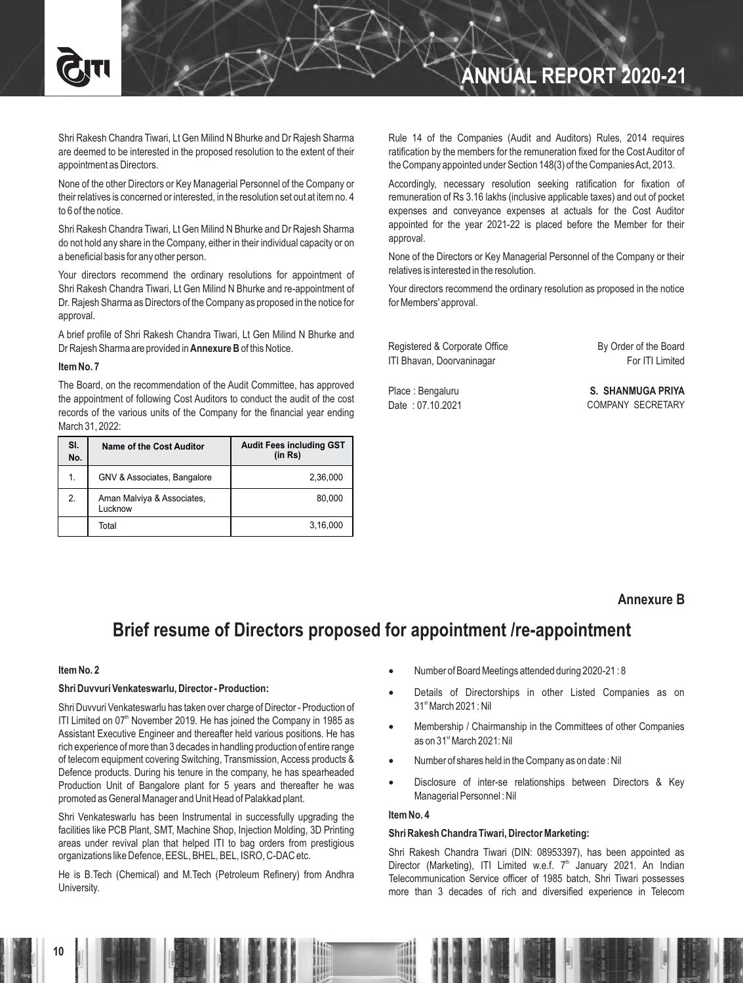

# **ANNUAL REPORT 2020-21**

Shri Rakesh Chandra Tiwari, Lt Gen Milind N Bhurke and Dr Rajesh Sharma are deemed to be interested in the proposed resolution to the extent of their appointment as Directors.

None of the other Directors or Key Managerial Personnel of the Company or their relatives is concerned or interested, in the resolution set out at item no. 4 to 6 of the notice.

Shri Rakesh Chandra Tiwari, Lt Gen Milind N Bhurke and Dr Rajesh Sharma do not hold any share in the Company, either in their individual capacity or on a beneficial basis for any other person.

Your directors recommend the ordinary resolutions for appointment of Shri Rakesh Chandra Tiwari, Lt Gen Milind N Bhurke and re-appointment of Dr. Rajesh Sharma as Directors of the Company as proposed in the notice for approval.

A brief profile of Shri Rakesh Chandra Tiwari, Lt Gen Milind N Bhurke and Dr Rajesh Sharma are provided in **Annexure B**of this Notice.

#### **Item No. 7**

The Board, on the recommendation of the Audit Committee, has approved the appointment of following Cost Auditors to conduct the audit of the cost records of the various units of the Company for the financial year ending March 31, 2022:

| SI.<br>No. | Name of the Cost Auditor              | <b>Audit Fees including GST</b><br>(in Rs) |
|------------|---------------------------------------|--------------------------------------------|
| 1.         | GNV & Associates, Bangalore           | 2,36,000                                   |
| 2.         | Aman Malviya & Associates,<br>Lucknow | 80.000                                     |
|            | Total                                 | 3,16,000                                   |

Rule 14 of the Companies (Audit and Auditors) Rules, 2014 requires ratification by the members for the remuneration fixed for the Cost Auditor of the Company appointed under Section 148(3) of the Companies Act, 2013.

Accordingly, necessary resolution seeking ratification for fixation of remuneration of Rs 3.16 lakhs (inclusive applicable taxes) and out of pocket expenses and conveyance expenses at actuals for the Cost Auditor appointed for the year 2021-22 is placed before the Member for their approval.

None of the Directors or Key Managerial Personnel of the Company or their relatives is interested in the resolution.

Your directors recommend the ordinary resolution as proposed in the notice for Members' approval.

| Registered & Corporate Office | By Order of the Board |
|-------------------------------|-----------------------|
| ITI Bhavan, Doorvaninagar     | For ITI Limited       |
|                               |                       |

Place : Bengaluru Date : 07.10.2021

**S. SHANMUGA PRIYA** COMPANY SECRETARY

## **Annexure B**

# **Brief resume of Directors proposed for appointment /re-appointment**

### **Item No. 2**

#### **Shri Duvvuri Venkateswarlu, Director - Production:**

Shri Duvvuri Venkateswarlu has taken over charge of Director - Production of ITI Limited on  $07<sup>th</sup>$  November 2019. He has joined the Company in 1985 as Assistant Executive Engineer and thereafter held various positions. He has rich experience of more than 3 decades in handling production of entire range of telecom equipment covering Switching, Transmission, Access products & Defence products. During his tenure in the company, he has spearheaded Production Unit of Bangalore plant for 5 years and thereafter he was promoted as General Manager and Unit Head of Palakkad plant.

Shri Venkateswarlu has been Instrumental in successfully upgrading the facilities like PCB Plant, SMT, Machine Shop, Injection Molding, 3D Printing areas under revival plan that helped ITI to bag orders from prestigious organizations like Defence, EESL, BHEL, BEL, ISRO, C-DAC etc.

He is B.Tech (Chemical) and M.Tech (Petroleum Refinery) from Andhra University.

- · Number of Board Meetings attended during 2020-21 : 8
- Details of Directorships in other Listed Companies as on  $31<sup>st</sup> March 2021$ : Nil
- Membership / Chairmanship in the Committees of other Companies as on 31<sup>st</sup> March 2021: Nil
- Number of shares held in the Company as on date: Nil
- Disclosure of inter-se relationships between Directors & Key Managerial Personnel : Nil

#### **Item No. 4**

### **Shri Rakesh Chandra Tiwari, Director Marketing:**

Shri Rakesh Chandra Tiwari (DIN: 08953397), has been appointed as Director (Marketing), ITI Limited w.e.f.  $7<sup>th</sup>$  January 2021. An Indian Telecommunication Service officer of 1985 batch, Shri Tiwari possesses more than 3 decades of rich and diversified experience in Telecom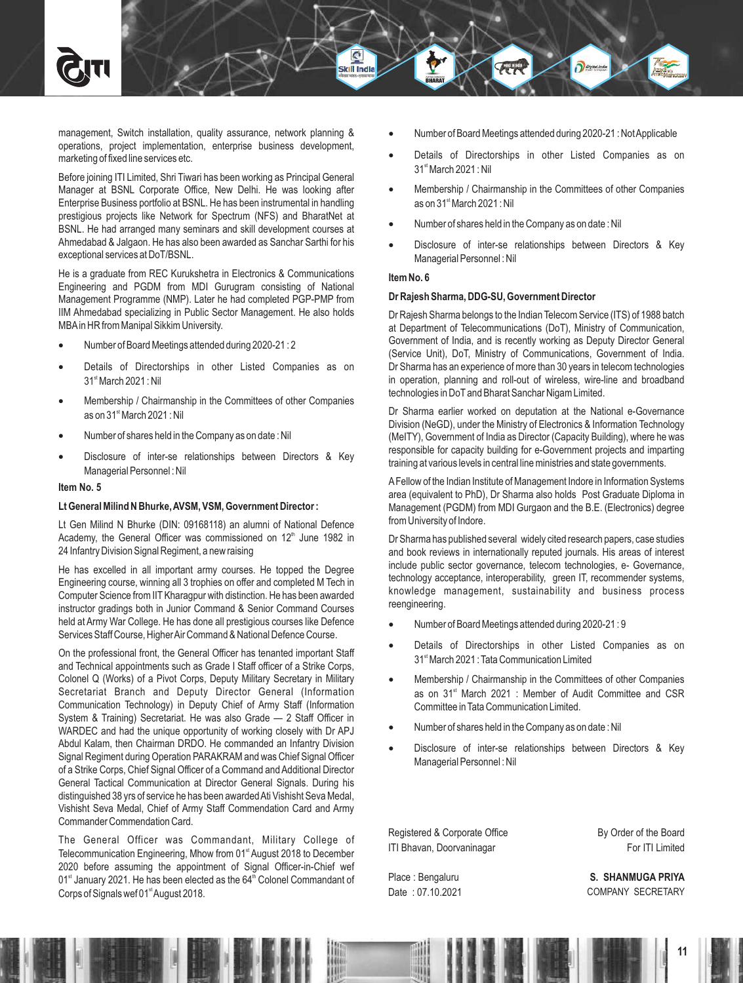management, Switch installation, quality assurance, network planning & operations, project implementation, enterprise business development, marketing of fixed line services etc.

Before joining ITI Limited, Shri Tiwari has been working as Principal General Manager at BSNL Corporate Office, New Delhi. He was looking after Enterprise Business portfolio at BSNL. He has been instrumental in handling prestigious projects like Network for Spectrum (NFS) and BharatNet at BSNL. He had arranged many seminars and skill development courses at Ahmedabad & Jalgaon. He has also been awarded as Sanchar Sarthi for his exceptional services at DoT/BSNL.

He is a graduate from REC Kurukshetra in Electronics & Communications Engineering and PGDM from MDI Gurugram consisting of National Management Programme (NMP). Later he had completed PGP-PMP from IIM Ahmedabad specializing in Public Sector Management. He also holds MBAin HR from Manipal Sikkim University.

- · Number of Board Meetings attended during 2020-21 : 2
- Details of Directorships in other Listed Companies as on  $31<sup>st</sup> March 2021$ : Nil
- Membership / Chairmanship in the Committees of other Companies as on 31<sup>st</sup> March 2021 : Nil
- · Number of shares held in the Company as on date : Nil
- Disclosure of inter-se relationships between Directors & Key Managerial Personnel : Nil

#### **Item No. 5**

#### **Lt General Milind N Bhurke, AVSM, VSM, Government Director :**

Lt Gen Milind N Bhurke (DIN: 09168118) an alumni of National Defence Academy, the General Officer was commissioned on  $12<sup>th</sup>$  June 1982 in 24 Infantry Division Signal Regiment, a new raising

He has excelled in all important army courses. He topped the Degree Engineering course, winning all 3 trophies on offer and completed M Tech in Computer Science from IITKharagpur with distinction. He has been awarded instructor gradings both in Junior Command & Senior Command Courses held at Army War College. He has done all prestigious courses like Defence Services Staff Course, Higher Air Command & National Defence Course.

On the professional front, the General Officer has tenanted important Staff and Technical appointments such as Grade I Staff officer of a Strike Corps, Colonel Q (Works) of a Pivot Corps, Deputy Military Secretary in Military Secretariat Branch and Deputy Director General (Information Communication Technology) in Deputy Chief of Army Staff (Information System & Training) Secretariat. He was also Grade — 2 Staff Officer in WARDEC and had the unique opportunity of working closely with Dr APJ Abdul Kalam, then Chairman DRDO. He commanded an Infantry Division Signal Regiment during Operation PARAKRAM and was Chief Signal Officer of a Strike Corps, Chief Signal Officer of a Command and Additional Director General Tactical Communication at Director General Signals. During his distinguished 38 yrs of service he has been awarded Ati Vishisht Seva Medal, Vishisht Seva Medal, Chief of Army Staff Commendation Card and Army Commander Commendation Card.

The General Officer was Commandant, Military College of Telecommunication Engineering, Mhow from 01<sup>st</sup> August 2018 to December 2020 before assuming the appointment of Signal Officer-in-Chief wef 01<sup>st</sup> January 2021. He has been elected as the 64<sup>th</sup> Colonel Commandant of Corps of Signals wef 01<sup>st</sup> August 2018.

- Number of Board Meetings attended during 2020-21 : Not Applicable
- Details of Directorships in other Listed Companies as on  $31<sup>st</sup> March 2021$ : Nil
- Membership / Chairmanship in the Committees of other Companies as on  $31<sup>st</sup>$  March 2021 : Nil
- Number of shares held in the Company as on date : Nil
- Disclosure of inter-se relationships between Directors & Key Managerial Personnel : Nil

#### **Item No. 6**

Skill Ind

#### **Dr Rajesh Sharma, DDG-SU, Government Director**

Dr Rajesh Sharma belongs to the Indian Telecom Service (ITS) of 1988 batch at Department of Telecommunications (DoT), Ministry of Communication, Government of India, and is recently working as Deputy Director General (Service Unit), DoT, Ministry of Communications, Government of India. Dr Sharma has an experience of more than 30 years in telecom technologies in operation, planning and roll-out of wireless, wire-line and broadband technologies in DoTand Bharat Sanchar Nigam Limited.

Dr Sharma earlier worked on deputation at the National e-Governance Division (NeGD), under the Ministry of Electronics & Information Technology (MeITY), Government of India as Director (Capacity Building), where he was responsible for capacity building for e-Government projects and imparting training at various levels in central line ministries and state governments.

AFellow of the Indian Institute of Management Indore in Information Systems area (equivalent to PhD), Dr Sharma also holds Post Graduate Diploma in Management (PGDM) from MDI Gurgaon and the B.E. (Electronics) degree from University of Indore.

Dr Sharma has published several widely cited research papers, case studies and book reviews in internationally reputed journals. His areas of interest include public sector governance, telecom technologies, e- Governance, technology acceptance, interoperability, green IT, recommender systems, knowledge management, sustainability and business process reengineering.

- · Number of Board Meetings attended during 2020-21 : 9
- Details of Directorships in other Listed Companies as on 31<sup>st</sup> March 2021 : Tata Communication Limited
- · Membership / Chairmanship in the Committees of other Companies as on  $31<sup>st</sup>$  March 2021 : Member of Audit Committee and CSR Committee in Tata Communication Limited.
- Number of shares held in the Company as on date : Nil
- Disclosure of inter-se relationships between Directors & Key Managerial Personnel : Nil

Registered & Corporate Office ITI Bhavan, Doorvaninagar

Place : Bengaluru Date : 07.10.2021 By Order of the Board For ITI Limited

**S. SHANMUGA PRIYA** COMPANY SECRETARY

**11**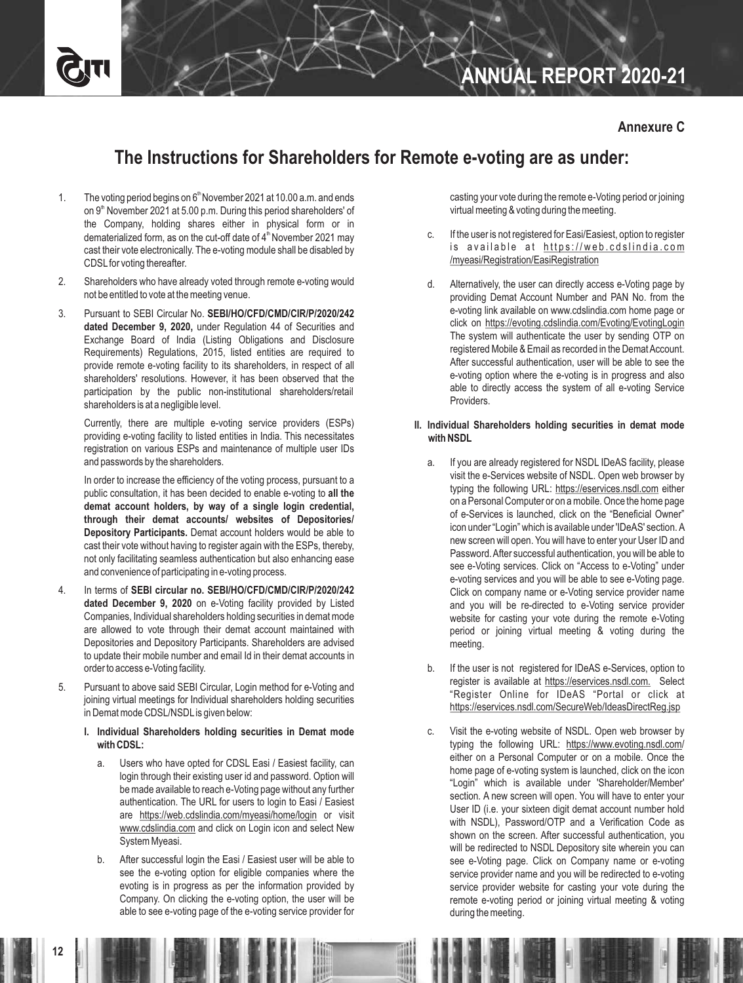# **ANNUAL REPORT 2020-21**

# **The Instructions for Shareholders for Remote e-voting are as under:**

- 1. The voting period begins on  $6<sup>th</sup>$  November 2021 at 10.00 a.m. and ends on 9<sup>th</sup> November 2021 at 5.00 p.m. During this period shareholders' of the Company, holding shares either in physical form or in dematerialized form, as on the cut-off date of  $4<sup>th</sup>$  November 2021 may cast their vote electronically. The e-voting module shall be disabled by CDSLfor voting thereafter.
- 2. Shareholders who have already voted through remote e-voting would not be entitled to vote at the meeting venue.
- 3. Pursuant to SEBI Circular No. **SEBI/HO/CFD/CMD/CIR/P/2020/242 dated December 9, 2020,** under Regulation 44 of Securities and Exchange Board of India (Listing Obligations and Disclosure Requirements) Regulations, 2015, listed entities are required to provide remote e-voting facility to its shareholders, in respect of all shareholders' resolutions. However, it has been observed that the participation by the public non-institutional shareholders/retail shareholders is at a negligible level.

Currently, there are multiple e-voting service providers (ESPs) providing e-voting facility to listed entities in India. This necessitates registration on various ESPs and maintenance of multiple user IDs and passwords by the shareholders.

In order to increase the efficiency of the voting process, pursuant to a public consultation, it has been decided to enable e-voting to **all the demat account holders, by way of a single login credential, through their demat accounts/ websites of Depositories/ Depository Participants.** Demat account holders would be able to cast their vote without having to register again with the ESPs, thereby, not only facilitating seamless authentication but also enhancing ease and convenience of participating in e-voting process.

- 4. In terms of **SEBI circular no. SEBI/HO/CFD/CMD/CIR/P/2020/242 dated December 9, 2020** on e-Voting facility provided by Listed Companies, Individual shareholders holding securities in demat mode are allowed to vote through their demat account maintained with Depositories and Depository Participants. Shareholders are advised to update their mobile number and email Id in their demat accounts in order to access e-Voting facility.
- 5. Pursuant to above said SEBI Circular, Login method for e-Voting and joining virtual meetings for Individual shareholders holding securities in Demat mode CDSL/NSDLis given below:
	- **I. Individual Shareholders holding securities in Demat mode with CDSL:**
		- a. Users who have opted for CDSL Easi / Easiest facility, can login through their existing user id and password. Option will be made available to reach e-Voting page without any further authentication. The URL for users to login to Easi / Easiest are https://web.cdslindia.com/myeasi/home/login or visit www.cdslindia.com and click on Login icon and select New System Myeasi.
		- b. After successful login the Easi / Easiest user will be able to see the e-voting option for eligible companies where the evoting is in progress as per the information provided by Company. On clicking the e-voting option, the user will be able to see e-voting page of the e-voting service provider for

casting your vote during the remote e-Voting period or joining virtual meeting & voting during the meeting.

- c. If the user is not registered for Easi/Easiest, option to register is available at https://web.cdslindia.com /myeasi/Registration/EasiRegistration
- d. Alternatively, the user can directly access e-Voting page by providing Demat Account Number and PAN No. from the e-voting link available on www.cdslindia.com home page or click on https://evoting.cdslindia.com/Evoting/EvotingLogin The system will authenticate the user by sending OTP on registered Mobile & Email as recorded in the Demat Account. After successful authentication, user will be able to see the e-voting option where the e-voting is in progress and also able to directly access the system of all e-voting Service Providers.

#### **II. Individual Shareholders holding securities in demat mode with NSDL**

- a. If you are already registered for NSDL IDeAS facility, please visit the e-Services website of NSDL. Open web browser by typing the following URL: https://eservices.nsdl.com either on a Personal Computer or on a mobile. Once the home page of e-Services is launched, click on the "Beneficial Owner" icon under "Login" which is available under 'IDeAS' section. A new screen will open. You will have to enter your User ID and Password. After successful authentication, you will be able to see e-Voting services. Click on "Access to e-Voting" under e-voting services and you will be able to see e-Voting page. Click on company name or e-Voting service provider name and you will be re-directed to e-Voting service provider website for casting your vote during the remote e-Voting period or joining virtual meeting & voting during the meeting.
- b. If the user is not registered for IDeAS e-Services, option to register is available at https://eservices.nsdl.com. Select "Register Online for IDeAS "Portal or click at https://eservices.nsdl.com/SecureWeb/IdeasDirectReg.jsp
- c. Visit the e-voting website of NSDL. Open web browser by typing the following URL: https://www.evoting.nsdl.com/ either on a Personal Computer or on a mobile. Once the home page of e-voting system is launched, click on the icon "Login" which is available under 'Shareholder/Member' section. A new screen will open. You will have to enter your User ID (i.e. your sixteen digit demat account number hold with NSDL), Password/OTP and a Verification Code as shown on the screen. After successful authentication, you will be redirected to NSDL Depository site wherein you can see e-Voting page. Click on Company name or e-voting service provider name and you will be redirected to e-voting service provider website for casting your vote during the remote e-voting period or joining virtual meeting & voting during the meeting.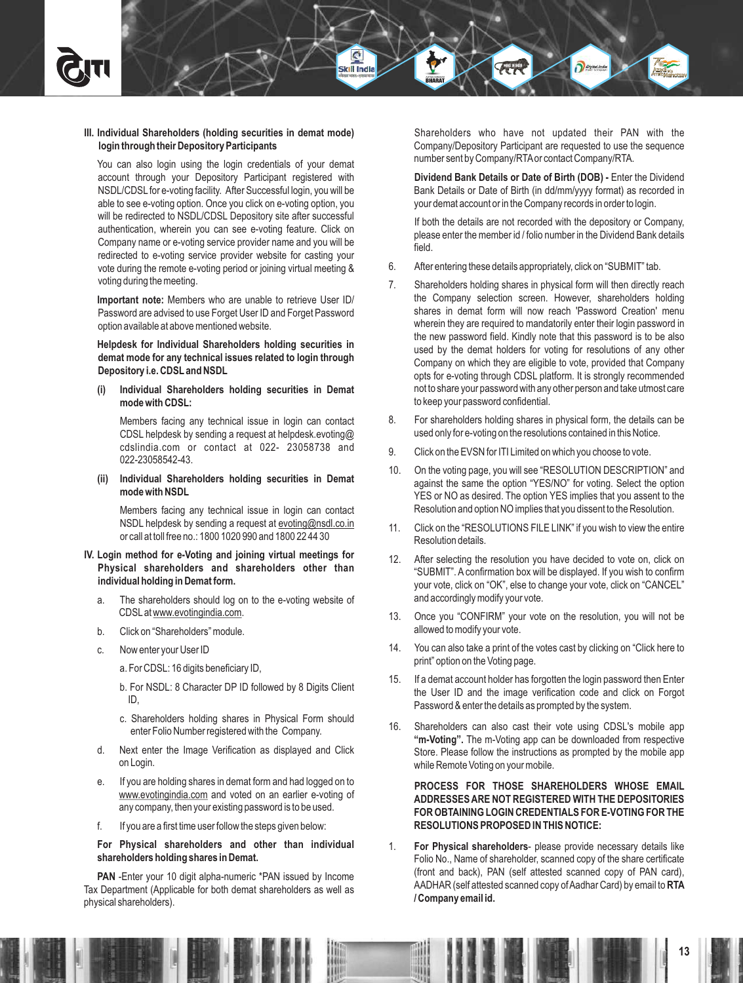#### **III. Individual Shareholders (holding securities in demat mode) login through their Depository Participants**

Skill Ind

You can also login using the login credentials of your demat account through your Depository Participant registered with NSDL/CDSL for e-voting facility. After Successful login, you will be able to see e-voting option. Once you click on e-voting option, you will be redirected to NSDL/CDSL Depository site after successful authentication, wherein you can see e-voting feature. Click on Company name or e-voting service provider name and you will be redirected to e-voting service provider website for casting your vote during the remote e-voting period or joining virtual meeting & voting during the meeting.

**Important note:** Members who are unable to retrieve User ID/ Password are advised to use Forget User ID and Forget Password option available at above mentioned website.

**Helpdesk for Individual Shareholders holding securities in demat mode for any technical issues related to login through Depository i.e. CDSLand NSDL**

**(i) Individual Shareholders holding securities in Demat mode with CDSL:**

Members facing any technical issue in login can contact CDSL helpdesk by sending a request at helpdesk.evoting@ cdslindia.com or contact at 022- 23058738 and 022-23058542-43.

**(ii) Individual Shareholders holding securities in Demat mode with NSDL**

Members facing any technical issue in login can contact NSDL helpdesk by sending a request at evoting@nsdl.co.in or call at toll free no.: 1800 1020 990 and 1800 22 44 30

#### **IV. Login method for e-Voting and joining virtual meetings for Physical shareholders and shareholders other than individual holding in Demat form.**

- a. The shareholders should log on to the e-voting website of CDSLat www.evotingindia.com.
- b. Click on "Shareholders" module.
- c. Now enter your User ID

a. For CDSL: 16 digits beneficiary ID,

- b. For NSDL: 8 Character DP ID followed by 8 Digits Client ID,
- c. Shareholders holding shares in Physical Form should enter Folio Number registered with the Company.
- d. Next enter the Image Verification as displayed and Click on Login.
- e. If you are holding shares in demat form and had logged on to www.evotingindia.com and voted on an earlier e-voting of any company, then your existing password is to be used.
- f. If you are a first time user follow the steps given below:

**For Physical shareholders and other than individual shareholders holding shares in Demat.**

**PAN** -Enter your 10 digit alpha-numeric \*PAN issued by Income Tax Department (Applicable for both demat shareholders as well as physical shareholders).

Shareholders who have not updated their PAN with the Company/Depository Participant are requested to use the sequence number sent by Company/RTAor contact Company/RTA.

**Dividend Bank Details or Date of Birth (DOB) -** Enter the Dividend Bank Details or Date of Birth (in dd/mm/yyyy format) as recorded in your demat account or in the Company records in order to login.

If both the details are not recorded with the depository or Company, please enter the member id / folio number in the Dividend Bank details field.

- 6. After entering these details appropriately, click on "SUBMIT" tab.
- 7. Shareholders holding shares in physical form will then directly reach the Company selection screen. However, shareholders holding shares in demat form will now reach 'Password Creation' menu wherein they are required to mandatorily enter their login password in the new password field. Kindly note that this password is to be also used by the demat holders for voting for resolutions of any other Company on which they are eligible to vote, provided that Company opts for e-voting through CDSL platform. It is strongly recommended not to share your password with any other person and take utmost care to keep your password confidential.
- 8. For shareholders holding shares in physical form, the details can be used only for e-voting on the resolutions contained in this Notice.
- 9. Click on the EVSN for ITI Limited on which you choose to vote.
- 10. On the voting page, you will see "RESOLUTION DESCRIPTION" and against the same the option "YES/NO" for voting. Select the option YES or NO as desired. The option YES implies that you assent to the Resolution and option NO implies that you dissent to the Resolution.
- 11. Click on the "RESOLUTIONS FILE LINK" if you wish to view the entire Resolution details.
- 12. After selecting the resolution you have decided to vote on, click on "SUBMIT". A confirmation box will be displayed. If you wish to confirm your vote, click on "OK", else to change your vote, click on "CANCEL" and accordingly modify your vote.
- 13. Once you "CONFIRM" your vote on the resolution, you will not be allowed to modify your vote.
- 14. You can also take a print of the votes cast by clicking on "Click here to print" option on the Voting page.
- 15. If a demat account holder has forgotten the login password then Enter the User ID and the image verification code and click on Forgot Password & enter the details as prompted by the system.
- 16. Shareholders can also cast their vote using CDSL's mobile app **"m-Voting".** The m-Voting app can be downloaded from respective Store. Please follow the instructions as prompted by the mobile app while Remote Voting on your mobile.

**PROCESS FOR THOSE SHAREHOLDERS WHOSE EMAIL ADDRESSES ARE NOT REGISTERED WITH THE DEPOSITORIES FOR OBTAINING LOGIN CREDENTIALS FOR E-VOTING FOR THE RESOLUTIONS PROPOSED IN THIS NOTICE:** 

1. **For Physical shareholders**- please provide necessary details like Folio No., Name of shareholder, scanned copy of the share certificate (front and back), PAN (self attested scanned copy of PAN card), AADHAR (self attested scanned copy of Aadhar Card) by email to **RTA / Company email id.**